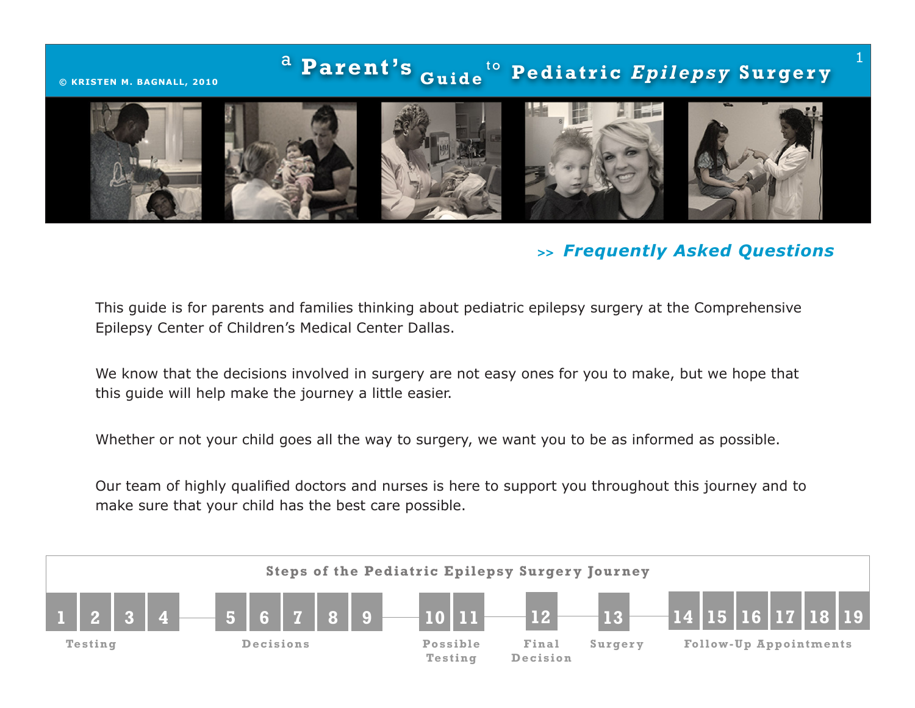# <sup>a</sup> Parent's <sub>Guide</sub> t o **© KRISTEN M . BAGNALL , 2010 Pe d i a t r i c** *E p i l ep s y* **S u r ge r y** 1

# *>> Frequently Asked Questions*

This guide is for parents and families thinking about pediatric epilepsy surgery at the Comprehensive Epilepsy Center of Children's Medical Center Dallas.

We know that the decisions involved in surgery are not easy ones for you to make, but we hope that this guide will help make the journey a little easier.

Whether or not your child goes all the way to surgery, we want you to be as informed as possible.

Our team of highly qualified doctors and nurses is here to support you throughout this journey and to make sure that your child has the best care possible.

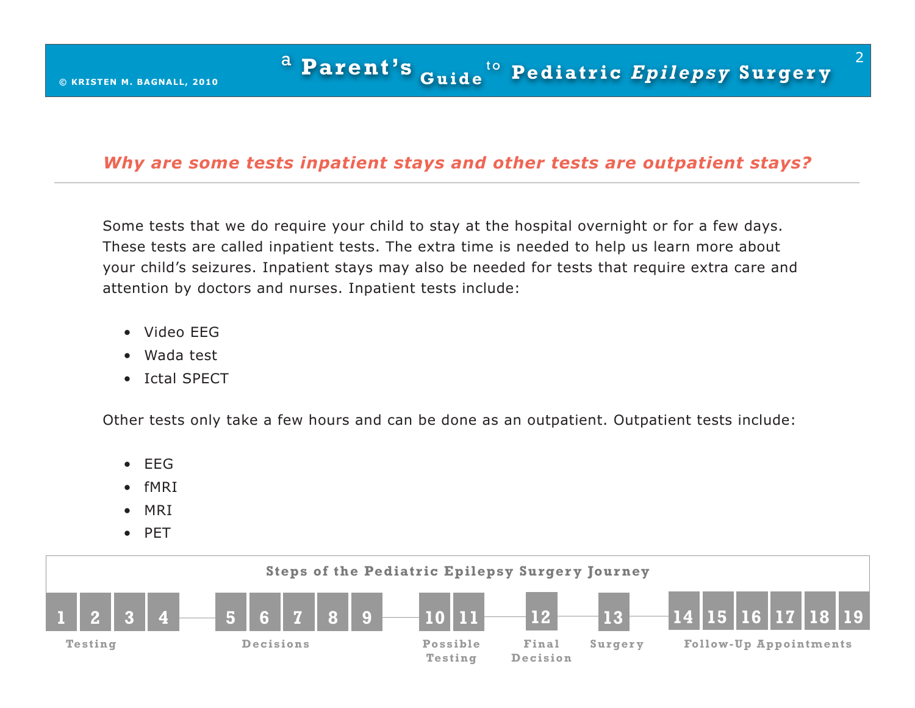## *Why are some tests inpatient stays and other tests are outpatient stays?*

Some tests that we do require your child to stay at the hospital overnight or for a few days. These tests are called inpatient tests. The extra time is needed to help us learn more about your child's seizures. Inpatient stays may also be needed for tests that require extra care and attention by doctors and nurses. Inpatient tests include:

- Video EEG
- Wada test
- Ictal SPECT

Other tests only take a few hours and can be done as an outpatient. Outpatient tests include:

- EEG
- fMRI
- MRI
- PET

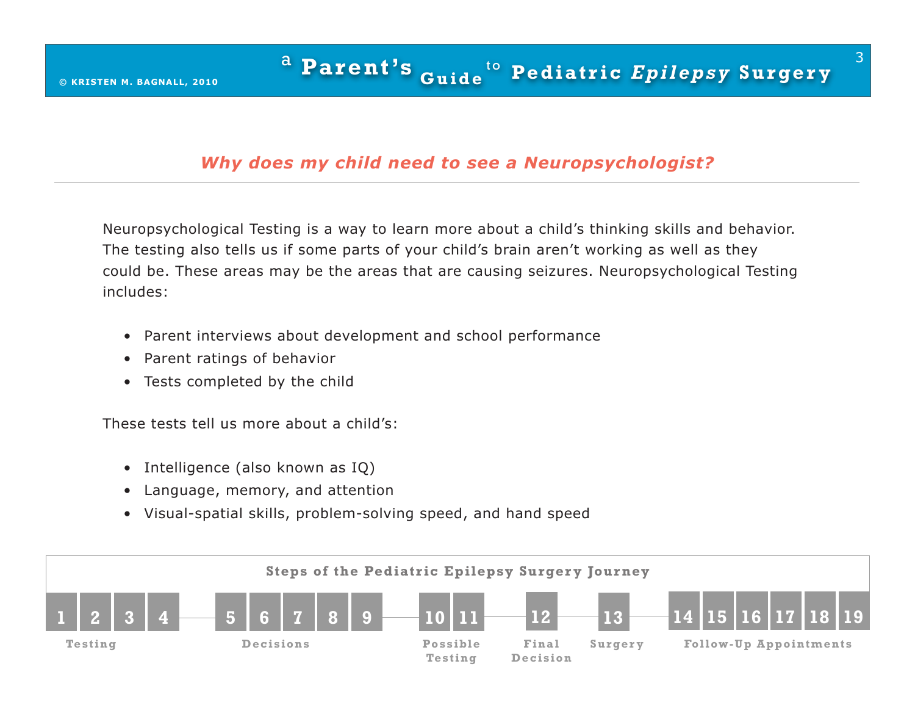## *Why does my child need to see a Neuropsychologist?*

Neuropsychological Testing is a way to learn more about a child's thinking skills and behavior. The testing also tells us if some parts of your child's brain aren't working as well as they could be. These areas may be the areas that are causing seizures. Neuropsychological Testing includes:

- Parent interviews about development and school performance
- Parent ratings of behavior
- Tests completed by the child

These tests tell us more about a child's:

- Intelligence (also known as IQ)
- Language, memory, and attention
- Visual-spatial skills, problem-solving speed, and hand speed

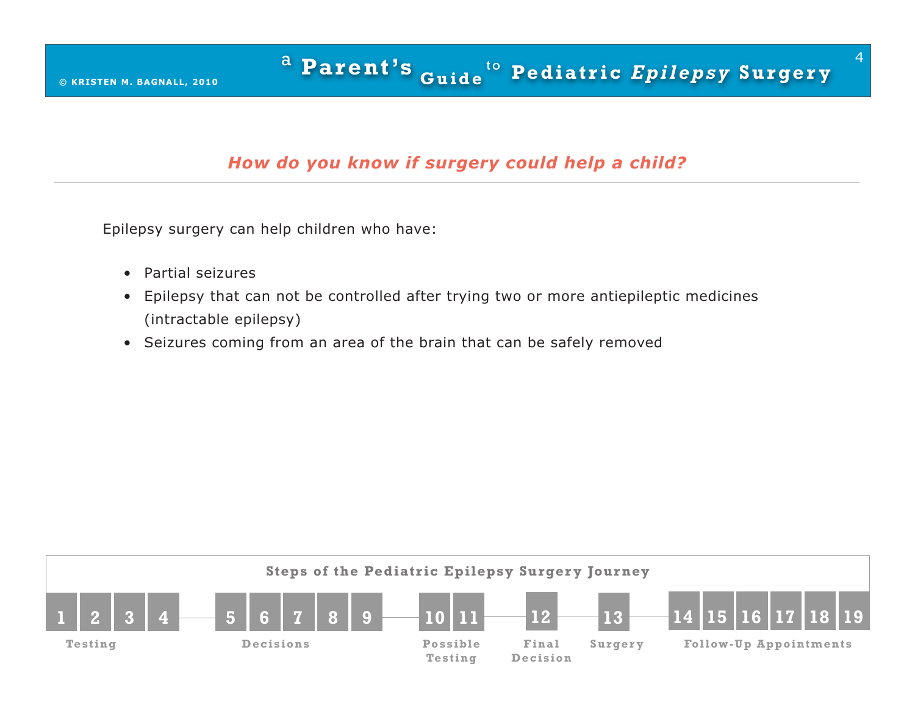# *How do you know if surgery could help a child?*

Epilepsy surgery can help children who have:

- Partial seizures
- Epilepsy that can not be controlled after trying two or more antiepileptic medicines (intractable epilepsy)
- Seizures coming from an area of the brain that can be safely removed

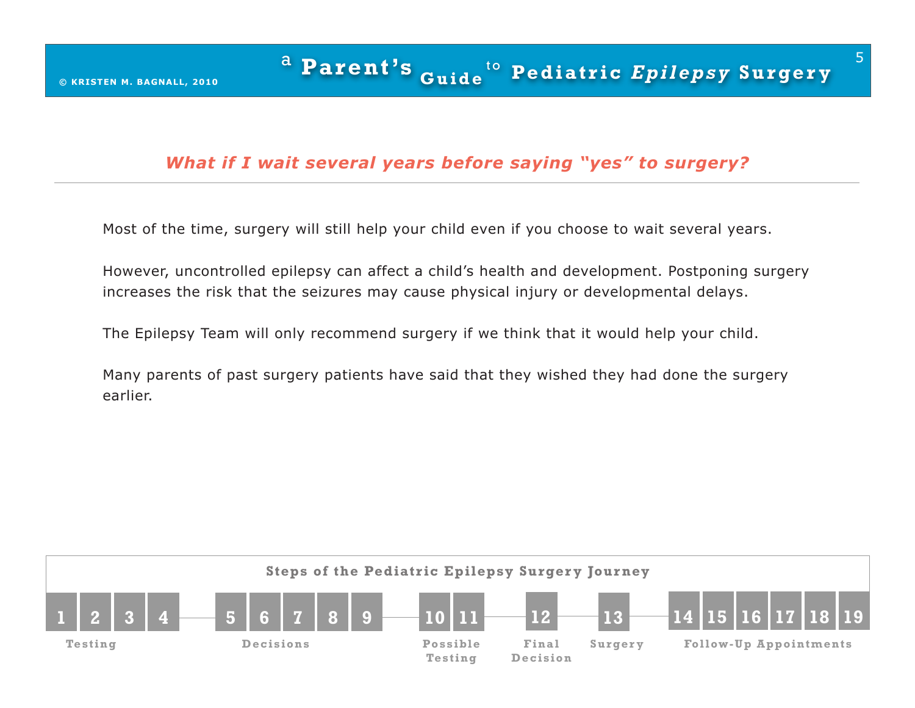## *What if I wait several years before saying "yes" to surgery?*

Most of the time, surgery will still help your child even if you choose to wait several years.

However, uncontrolled epilepsy can affect a child's health and development. Postponing surgery increases the risk that the seizures may cause physical injury or developmental delays.

The Epilepsy Team will only recommend surgery if we think that it would help your child.

Many parents of past surgery patients have said that they wished they had done the surgery earlier.

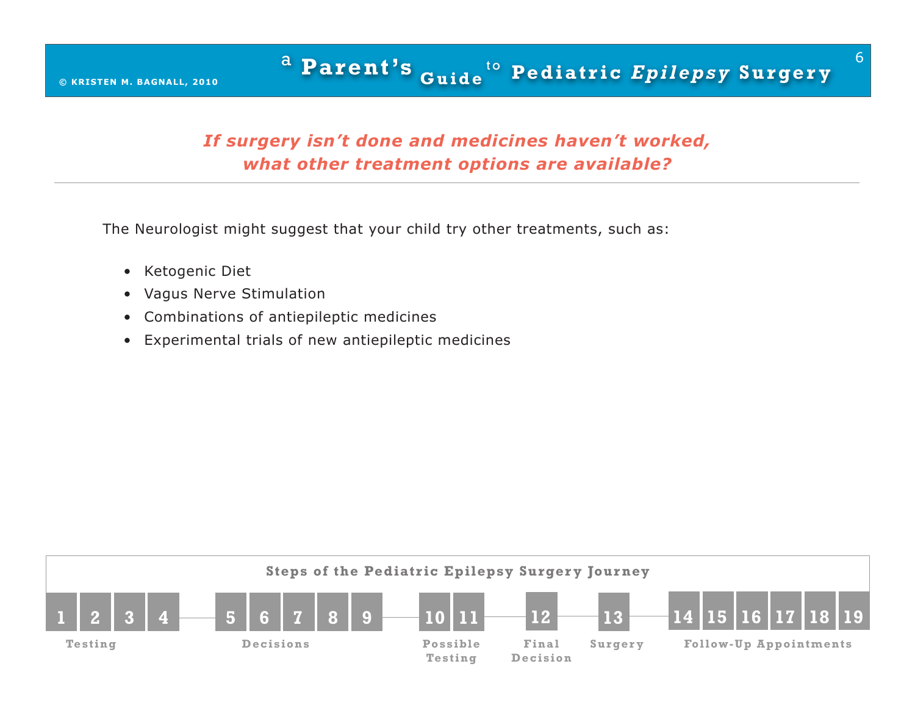# *If surgery isn't done and medicines haven't worked, what other treatment options are available?*

The Neurologist might suggest that your child try other treatments, such as:

- Ketogenic Diet
- Vagus Nerve Stimulation
- Combinations of antiepileptic medicines
- Experimental trials of new antiepileptic medicines

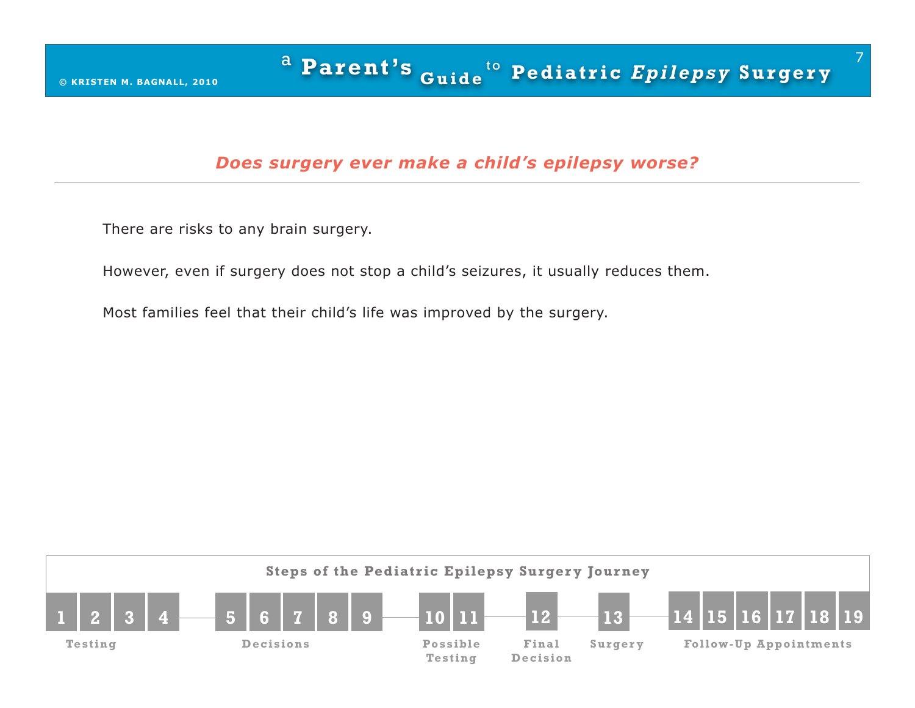#### *Does surgery ever make a child's epilepsy worse?*

There are risks to any brain surgery.

However, even if surgery does not stop a child's seizures, it usually reduces them.

Most families feel that their child's life was improved by the surgery.

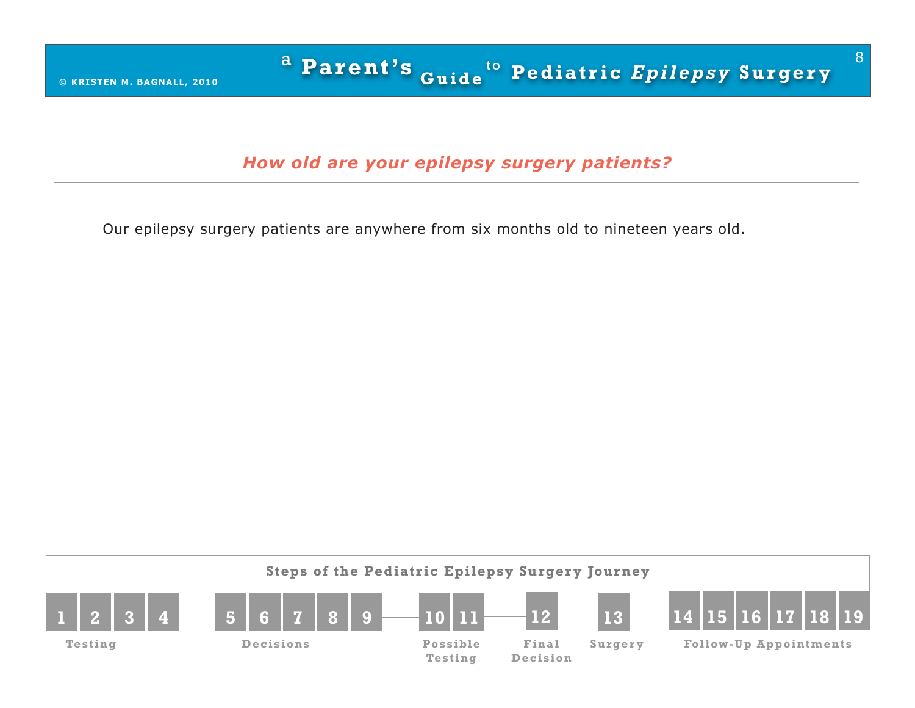*How old are your epilepsy surgery patients?*

Our epilepsy surgery patients are anywhere from six months old to nineteen years old.

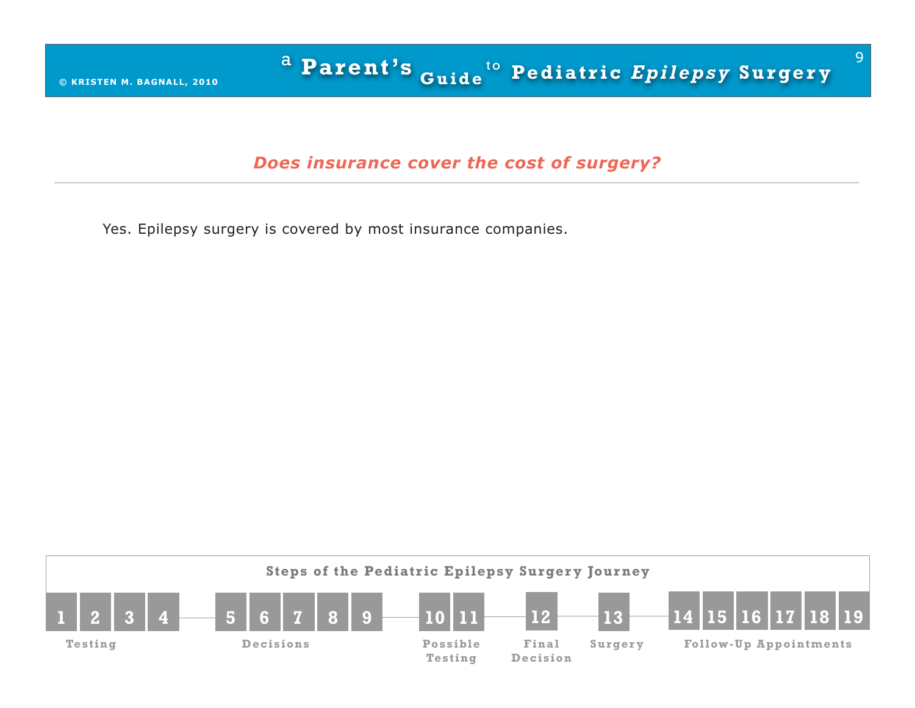#### *Does insurance cover the cost of surgery?*

Yes. Epilepsy surgery is covered by most insurance companies.

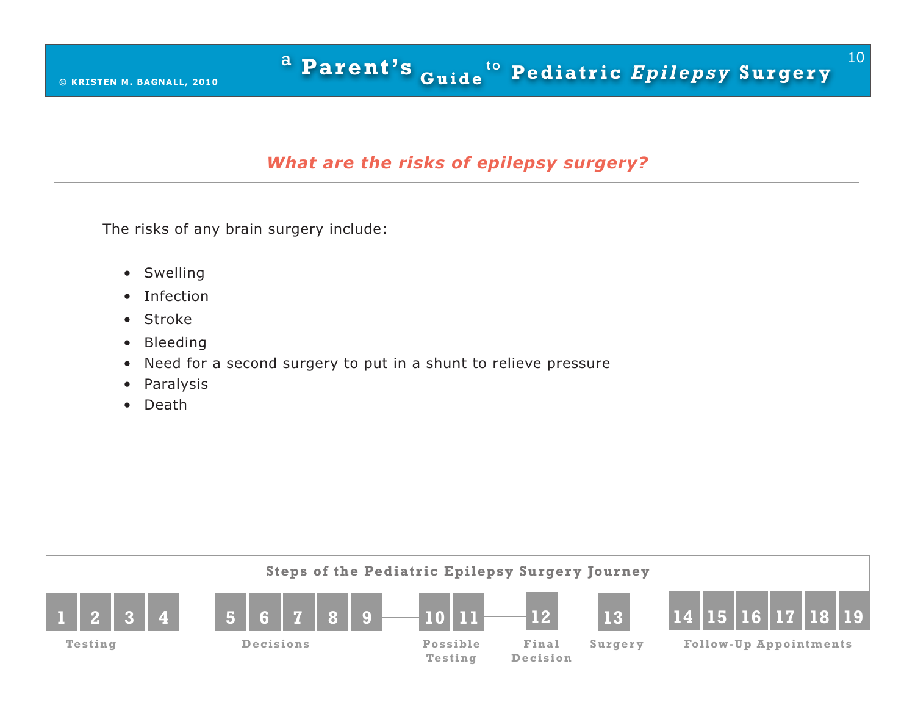## *What are the risks of epilepsy surgery?*

The risks of any brain surgery include:

- Swelling
- Infection
- Stroke
- Bleeding
- Need for a second surgery to put in a shunt to relieve pressure
- Paralysis
- Death

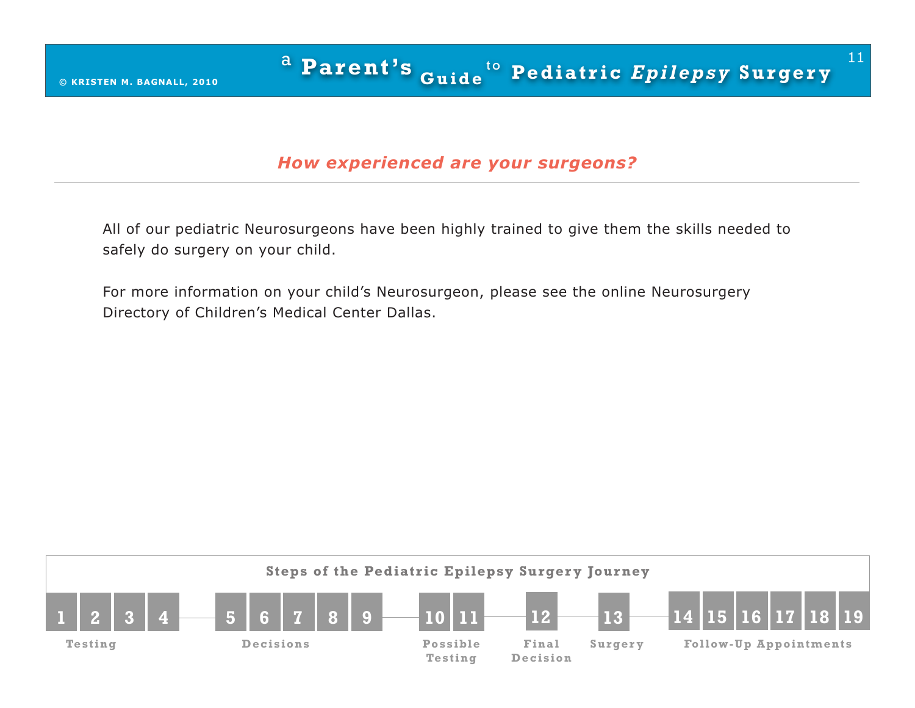#### *How experienced are your surgeons?*

All of our pediatric Neurosurgeons have been highly trained to give them the skills needed to safely do surgery on your child.

For more information on your child's Neurosurgeon, please see the online Neurosurgery Directory of Children's Medical Center Dallas.

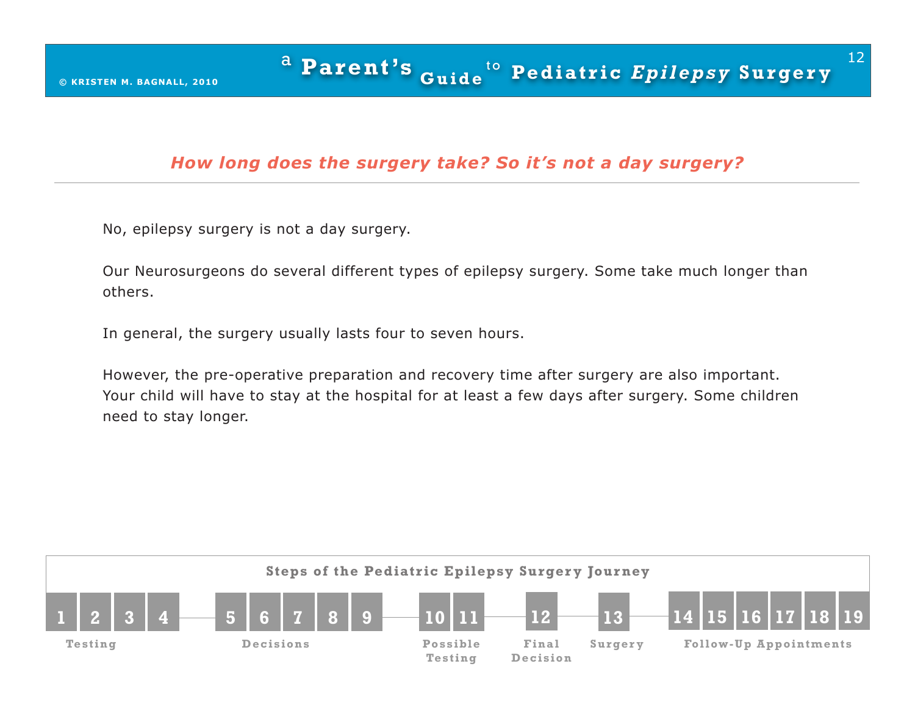#### *How long does the surgery take? So it's not a day surgery?*

No, epilepsy surgery is not a day surgery.

Our Neurosurgeons do several different types of epilepsy surgery. Some take much longer than others.

In general, the surgery usually lasts four to seven hours.

However, the pre-operative preparation and recovery time after surgery are also important. Your child will have to stay at the hospital for at least a few days after surgery. Some children need to stay longer.

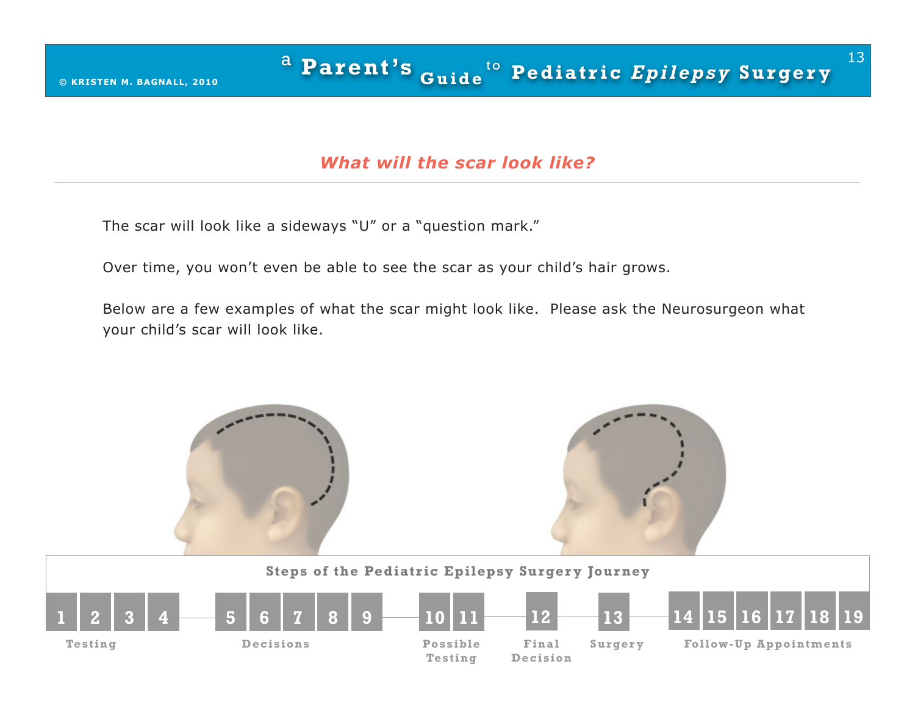#### *What will the scar look like?*

The scar will look like a sideways "U" or a "question mark."

Over time, you won't even be able to see the scar as your child's hair grows.

Below are a few examples of what the scar might look like. Please ask the Neurosurgeon what your child's scar will look like.

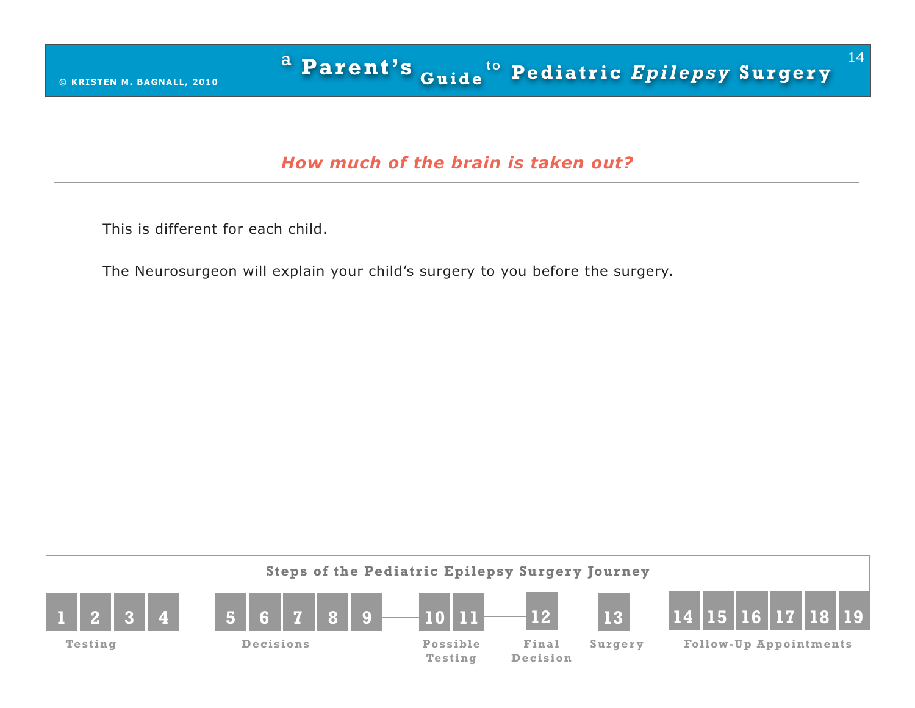## *How much of the brain is taken out?*

This is different for each child.

The Neurosurgeon will explain your child's surgery to you before the surgery.

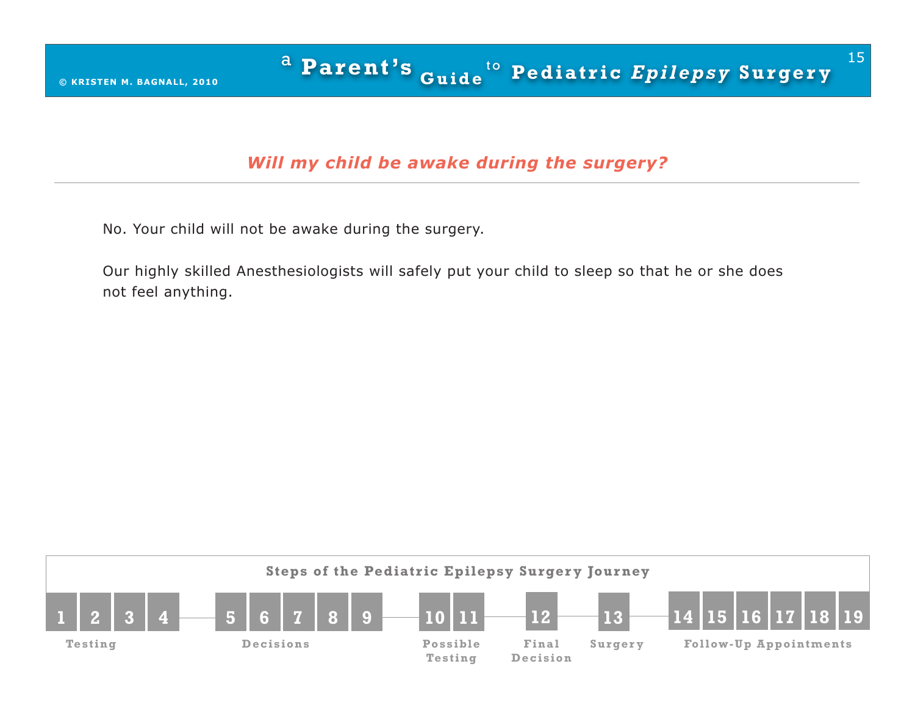# *Will my child be awake during the surgery?*

No. Your child will not be awake during the surgery.

Our highly skilled Anesthesiologists will safely put your child to sleep so that he or she does not feel anything.

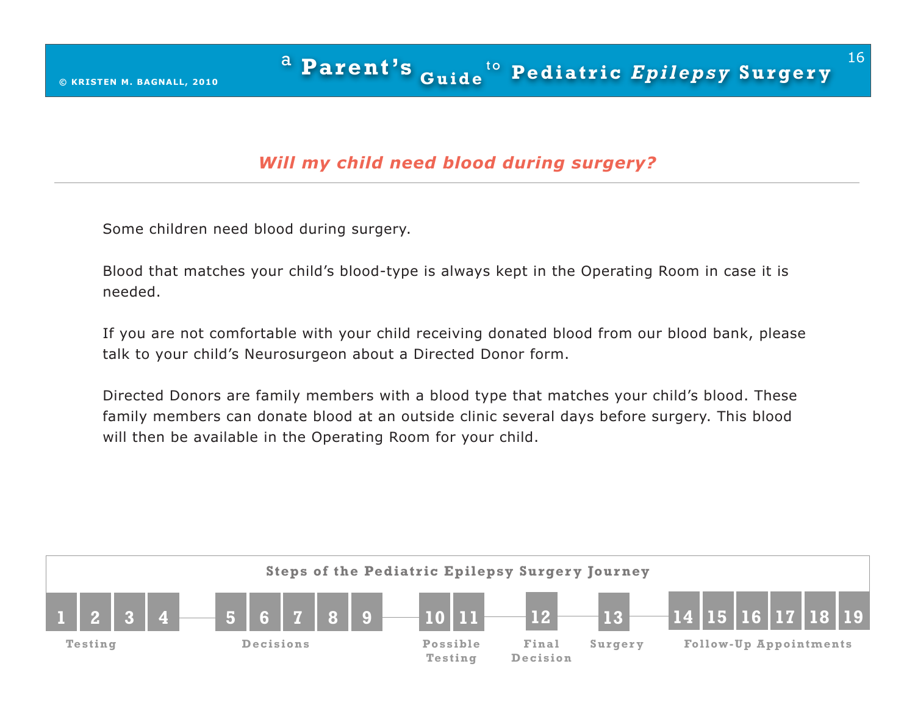# *Will my child need blood during surgery?*

Some children need blood during surgery.

Blood that matches your child's blood-type is always kept in the Operating Room in case it is needed.

If you are not comfortable with your child receiving donated blood from our blood bank, please talk to your child's Neurosurgeon about a Directed Donor form.

Directed Donors are family members with a blood type that matches your child's blood. These family members can donate blood at an outside clinic several days before surgery. This blood will then be available in the Operating Room for your child.

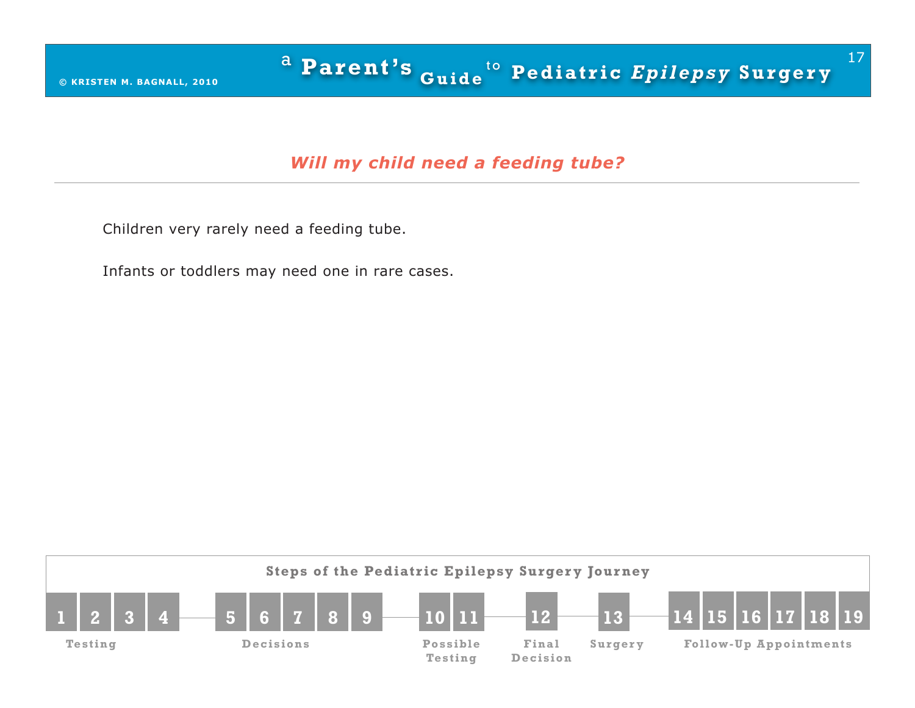## *Will my child need a feeding tube?*

Children very rarely need a feeding tube.

Infants or toddlers may need one in rare cases.

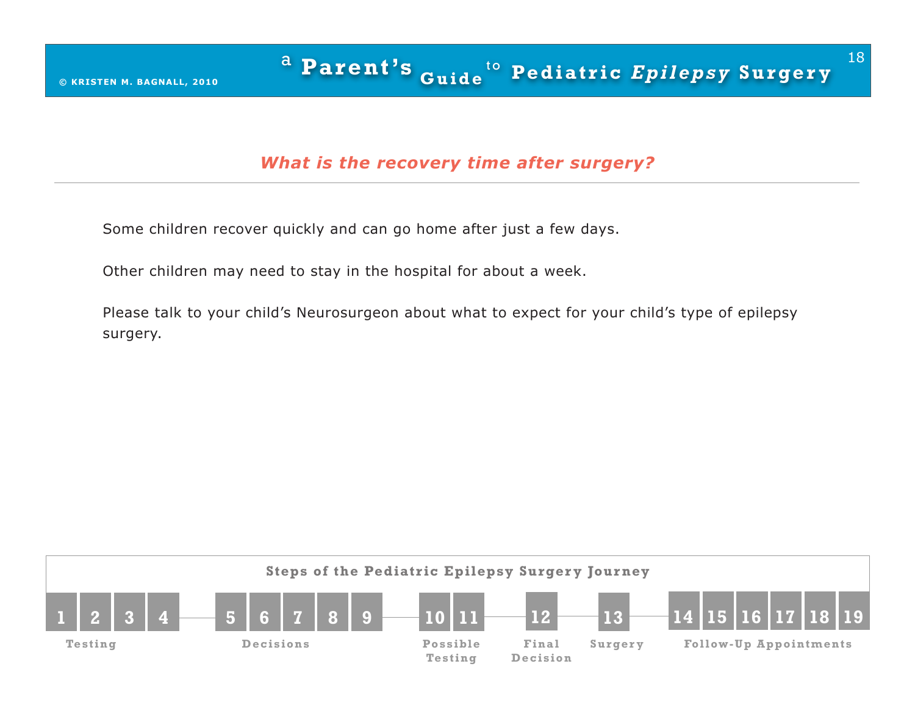## *What is the recovery time after surgery?*

Some children recover quickly and can go home after just a few days.

Other children may need to stay in the hospital for about a week.

Please talk to your child's Neurosurgeon about what to expect for your child's type of epilepsy surgery.

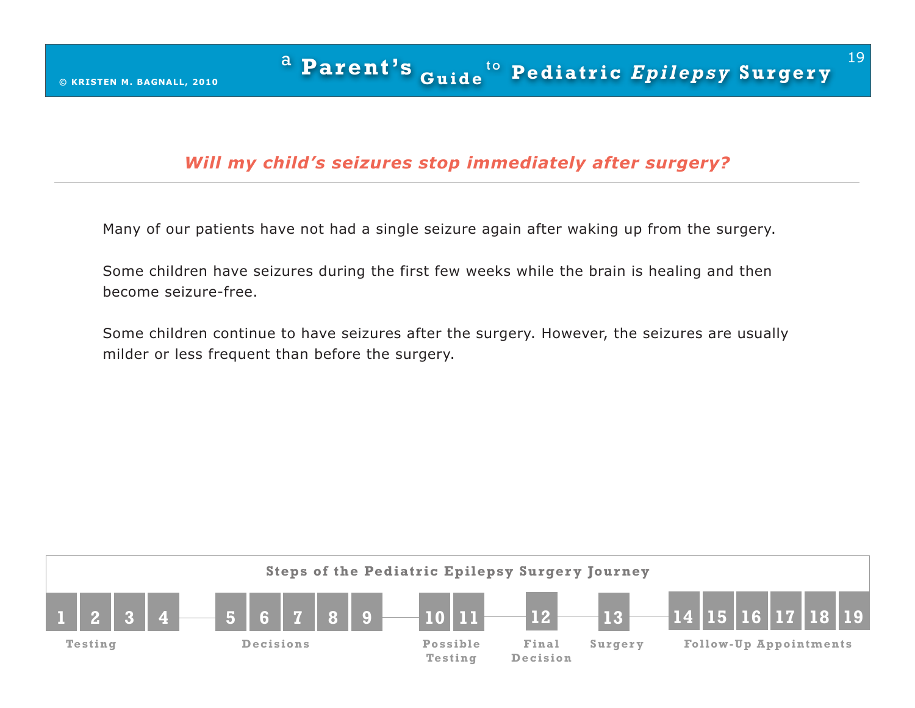## *Will my child's seizures stop immediately after surgery?*

Many of our patients have not had a single seizure again after waking up from the surgery.

Some children have seizures during the first few weeks while the brain is healing and then become seizure-free.

Some children continue to have seizures after the surgery. However, the seizures are usually milder or less frequent than before the surgery.

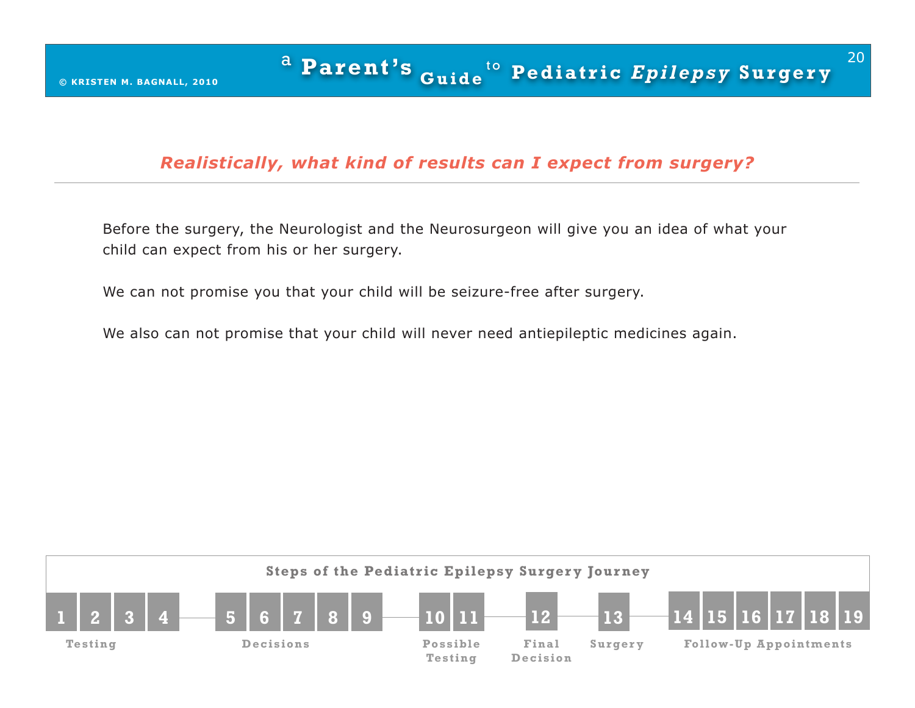## *Realistically, what kind of results can I expect from surgery?*

Before the surgery, the Neurologist and the Neurosurgeon will give you an idea of what your child can expect from his or her surgery.

We can not promise you that your child will be seizure-free after surgery.

We also can not promise that your child will never need antiepileptic medicines again.

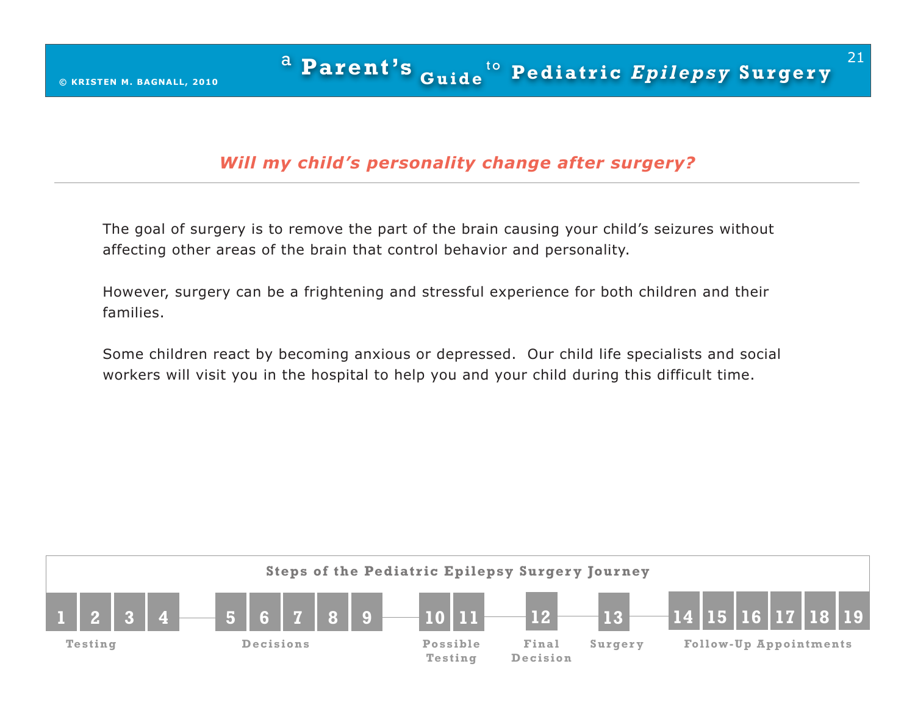# *Will my child's personality change after surgery?*

The goal of surgery is to remove the part of the brain causing your child's seizures without affecting other areas of the brain that control behavior and personality.

However, surgery can be a frightening and stressful experience for both children and their families.

Some children react by becoming anxious or depressed. Our child life specialists and social workers will visit you in the hospital to help you and your child during this difficult time.

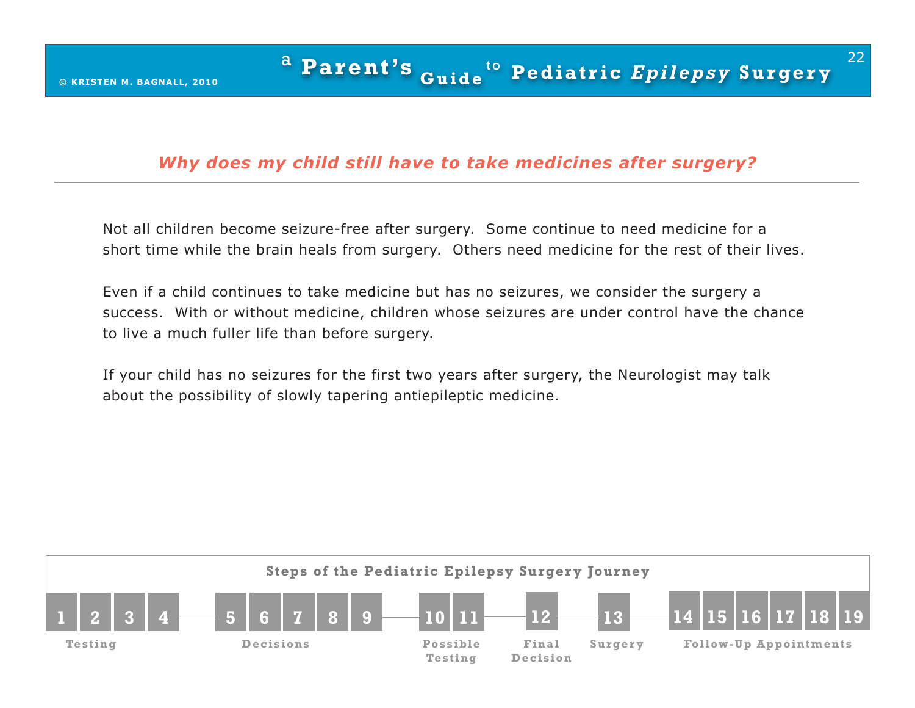## *Why does my child still have to take medicines after surgery?*

Not all children become seizure-free after surgery. Some continue to need medicine for a short time while the brain heals from surgery. Others need medicine for the rest of their lives.

Even if a child continues to take medicine but has no seizures, we consider the surgery a success. With or without medicine, children whose seizures are under control have the chance to live a much fuller life than before surgery.

If your child has no seizures for the first two years after surgery, the Neurologist may talk about the possibility of slowly tapering antiepileptic medicine.

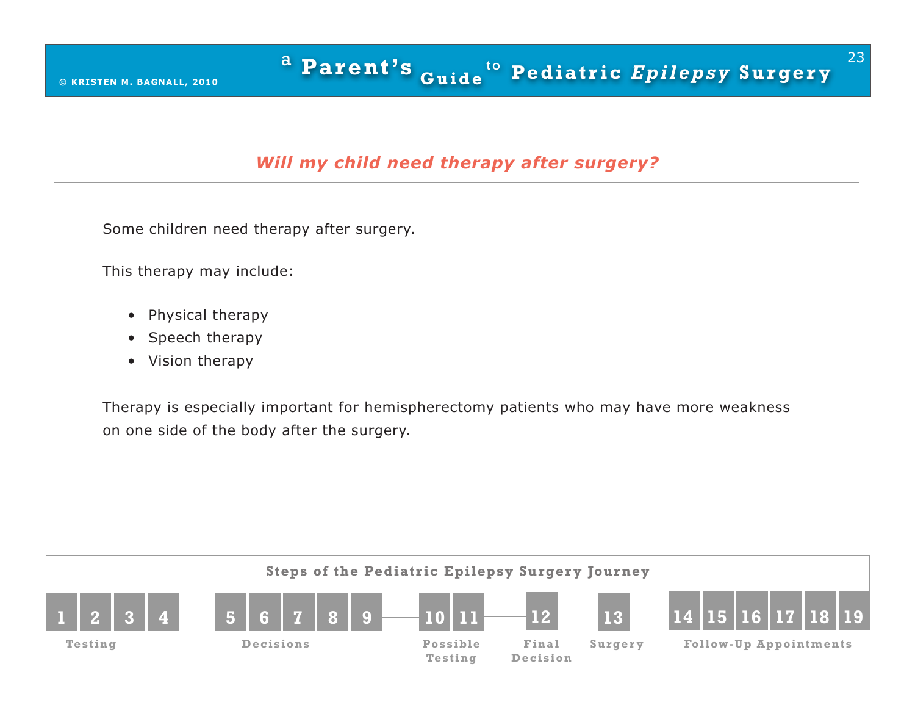# *Will my child need therapy after surgery?*

Some children need therapy after surgery.

This therapy may include:

- Physical therapy
- Speech therapy
- Vision therapy

Therapy is especially important for hemispherectomy patients who may have more weakness on one side of the body after the surgery.